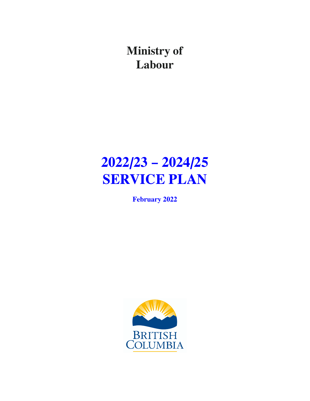**Ministry of Labour**

# **2022/23 – 2024/25 SERVICE PLAN**

**February 2022**

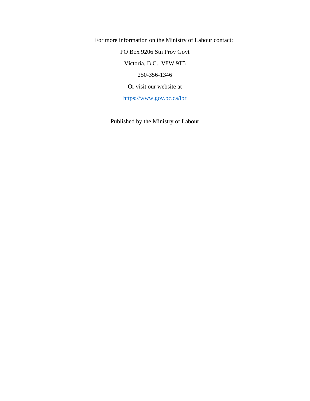For more information on the Ministry of Labour contact: PO Box 9206 Stn Prov Govt Victoria, B.C., V8W 9T5 250-356-1346 Or visit our website at

[https://www.gov.bc.ca/lbr](https://www2.gov.bc.ca/gov/content/governments/organizational-structure/ministries-organizations/ministries/labour)

Published by the Ministry of Labour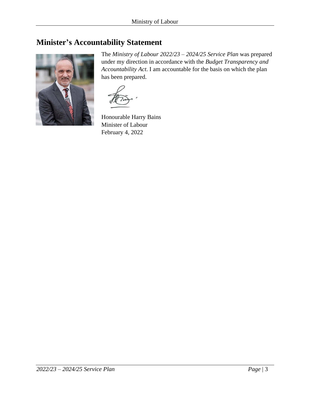## <span id="page-2-0"></span>**Minister's Accountability Statement**



The *Ministry of Labour 2022/23 – 2024/25 Service Plan* was prepared under my direction in accordance with the *Budget Transparency and Accountability Act*. I am accountable for the basis on which the plan has been prepared.

Honourable Harry Bains Minister of Labour February 4, 2022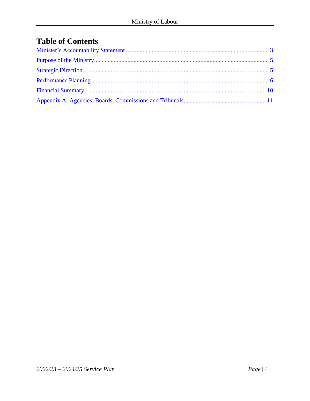# **Table of Contents**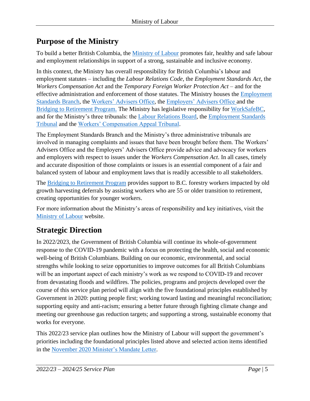# <span id="page-4-0"></span>**Purpose of the Ministry**

To build a better British Columbia, the [Ministry of Labour](https://www2.gov.bc.ca/gov/content/governments/organizational-structure/ministries-organizations/ministries/labour) promotes fair, healthy and safe labour and employment relationships in support of a strong, sustainable and inclusive economy.

In this context, the Ministry has overall responsibility for British Columbia's labour and employment statutes – including the *Labour Relations Code*, the *Employment Standards Act*, the *Workers Compensation Act* and the *Temporary Foreign Worker Protection Act* – and for the effective administration and enforcement of those statutes. The Ministry houses the **Employment** [Standards Branch,](https://www2.gov.bc.ca/gov/content/employment-business/employment-standards-advice/employment-standards) the [Workers' Advisers Office,](https://www2.gov.bc.ca/gov/content/employment-business/employment-standards-advice/personal-injury-and-workplace-safety) the [Employers' Advisers Office](https://www2.gov.bc.ca/gov/content/employment-business/employers/employers-advisers-office) and the [Bridging to Retirement Program.](https://www2.gov.bc.ca/gov/content/industry/forestry/supports-for-forestry-workers/retirement-bridging-program) The Ministry has legislative responsibility for [WorkSafeBC,](http://www.worksafebc.com/) and for the Ministry's three tribunals: the [Labour Relations Board,](http://www.lrb.bc.ca/) the [Employment Standards](http://www.bcest.bc.ca/)  [Tribunal](http://www.bcest.bc.ca/) and the [Workers' Compensation Appeal Tribunal.](http://www.wcat.bc.ca/)

The Employment Standards Branch and the Ministry's three administrative tribunals are involved in managing complaints and issues that have been brought before them. The Workers' Advisers Office and the Employers' Advisers Office provide advice and advocacy for workers and employers with respect to issues under the *Workers Compensation Act*. In all cases, timely and accurate disposition of those complaints or issues is an essential component of a fair and balanced system of labour and employment laws that is readily accessible to all stakeholders.

The [Bridging to Retirement Program](https://www2.gov.bc.ca/gov/content/industry/forestry/supports-for-forestry-workers/retirement-bridging-program) provides support to B.C. forestry workers impacted by old growth harvesting deferrals by assisting workers who are 55 or older transition to retirement, creating opportunities for younger workers.

For more information about the Ministry's areas of responsibility and key initiatives, visit the [Ministry of Labour](http://www2.gov.bc.ca/gov/content/governments/organizational-structure/ministries-organizations/ministries/labour) website.

# <span id="page-4-1"></span>**Strategic Direction**

In 2022/2023, the Government of British Columbia will continue its whole-of-government response to the COVID-19 pandemic with a focus on protecting the health, social and economic well-being of British Columbians. Building on our economic, environmental, and social strengths while looking to seize opportunities to improve outcomes for all British Columbians will be an important aspect of each ministry's work as we respond to COVID-19 and recover from devastating floods and wildfires. The policies, programs and projects developed over the course of this service plan period will align with the five foundational principles established by Government in 2020: putting people first; working toward lasting and meaningful reconciliation; supporting equity and anti-racism; ensuring a better future through fighting climate change and meeting our greenhouse gas reduction targets; and supporting a strong, sustainable economy that works for everyone.

This 2022/23 service plan outlines how the Ministry of Labour will support the government's priorities including the foundational principles listed above and selected action items identified in the November 2020 [Minister's Mandate Letter.](https://news.gov.bc.ca/files/LBR-Bains-mandate.pdf)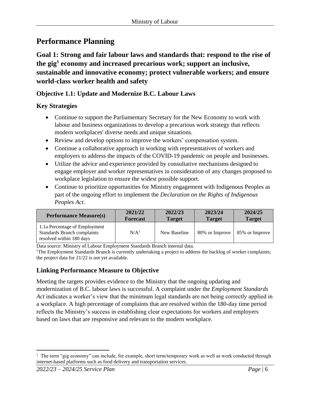# <span id="page-5-0"></span>**Performance Planning**

**Goal 1: Strong and fair labour laws and standards that: respond to the rise of the gig<sup>1</sup> economy and increased precarious work; support an inclusive, sustainable and innovative economy; protect vulnerable workers; and ensure world-class worker health and safety**

#### **Objective 1.1: Update and Modernize B.C. Labour Laws**

#### **Key Strategies**

- Continue to support the Parliamentary Secretary for the New Economy to work with labour and business organizations to develop a precarious work strategy that reflects modern workplaces' diverse needs and unique situations.
- Review and develop options to improve the workers' compensation system.
- Continue a collaborative approach in working with representatives of workers and employers to address the impacts of the COVID-19 pandemic on people and businesses.
- Utilize the advice and experience provided by consultative mechanisms designed to engage employer and worker representatives in consideration of any changes proposed to workplace legislation to ensure the widest possible support.
- Continue to prioritize opportunities for Ministry engagement with Indigenous Peoples as part of the ongoing effort to implement the *Declaration on the Rights of Indigenous Peoples Act*.

| <b>Performance Measure(s)</b>                                                                   | 2021/22          | 2022/23       | 2023/24        | 2024/25        |
|-------------------------------------------------------------------------------------------------|------------------|---------------|----------------|----------------|
|                                                                                                 | <b>Forecast</b>  | <b>Target</b> | <b>Target</b>  | <b>Target</b>  |
| 1.1a Percentage of Employment<br><b>Standards Branch complaints</b><br>resolved within 180 days | N/A <sup>1</sup> | New Baseline  | 80% or Improve | 85% or Improve |

Data source: Ministry of Labour Employment Standards Branch internal data.

<sup>1</sup>The Employment Standards Branch is currently undertaking a project to address the backlog of worker complaints; the project data for 21/22 is not yet available.

#### **Linking Performance Measure to Objective**

Meeting the targets provides evidence to the Ministry that the ongoing updating and modernization of B.C. labour laws is successful. A complaint under the *Employment Standards Act* indicates a worker's view that the minimum legal standards are not being correctly applied in a workplace. A high percentage of complaints that are resolved within the 180-day time period reflects the Ministry's success in establishing clear expectations for workers and employers based on laws that are responsive and relevant to the modern workplace.

<sup>&</sup>lt;sup>1</sup> The term "gig economy" can include, for example, short term/temporary work as well as work conducted through internet-based platforms such as food delivery and transportation services.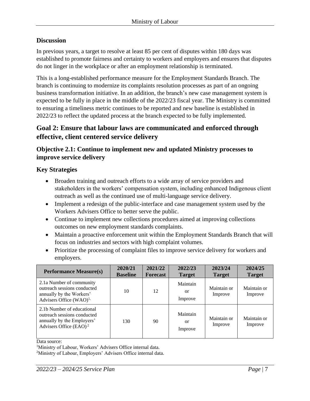#### **Discussion**

In previous years, a target to resolve at least 85 per cent of disputes within 180 days was established to promote fairness and certainty to workers and employers and ensures that disputes do not linger in the workplace or after an employment relationship is terminated.

This is a long-established performance measure for the Employment Standards Branch. The branch is continuing to modernize its complaints resolution processes as part of an ongoing business transformation initiative. In an addition, the branch's new case management system is expected to be fully in place in the middle of the 2022/23 fiscal year. The Ministry is committed to ensuring a timeliness metric continues to be reported and new baseline is established in 2022/23 to reflect the updated process at the branch expected to be fully implemented.

#### **Goal 2: Ensure that labour laws are communicated and enforced through effective, client centered service delivery**

#### **Objective 2.1: Continue to implement new and updated Ministry processes to improve service delivery**

#### **Key Strategies**

- Broaden training and outreach efforts to a wide array of service providers and stakeholders in the workers' compensation system, including enhanced Indigenous client outreach as well as the continued use of multi-language service delivery.
- Implement a redesign of the public-interface and case management system used by the Workers Advisers Office to better serve the public.
- Continue to implement new collections procedures aimed at improving collections outcomes on new employment standards complaints.
- Maintain a proactive enforcement unit within the Employment Standards Branch that will focus on industries and sectors with high complaint volumes.
- Prioritize the processing of complaint files to improve service delivery for workers and employers.

| <b>Performance Measure(s)</b>                                                                                        | 2020/21<br><b>Baseline</b> | 2021/22<br><b>Forecast</b> | 2022/23<br><b>Target</b>  | 2023/24<br><b>Target</b> | 2024/25<br><b>Target</b> |
|----------------------------------------------------------------------------------------------------------------------|----------------------------|----------------------------|---------------------------|--------------------------|--------------------------|
| 2.1a Number of community<br>outreach sessions conducted<br>annually by the Workers'<br>Advisers Office $(WAO)^{1}$ , | 10                         | 12                         | Maintain<br>or<br>Improve | Maintain or<br>Improve   | Maintain or<br>Improve   |
| 2.1b Number of educational<br>outreach sessions conducted<br>annually by the Employers'<br>Advisers Office $(EAO)^2$ | 130                        | 90                         | Maintain<br>or<br>Improve | Maintain or<br>Improve   | Maintain or<br>Improve   |

Data source:

<sup>1</sup>Ministry of Labour, Workers' Advisers Office internal data.

<sup>2</sup>Ministry of Labour, Employers' Advisers Office internal data.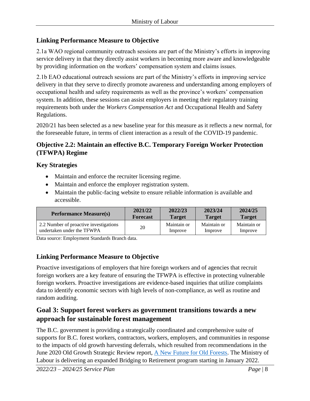#### **Linking Performance Measure to Objective**

2.1a WAO regional community outreach sessions are part of the Ministry's efforts in improving service delivery in that they directly assist workers in becoming more aware and knowledgeable by providing information on the workers' compensation system and claims issues.

2.1b EAO educational outreach sessions are part of the Ministry's efforts in improving service delivery in that they serve to directly promote awareness and understanding among employers of occupational health and safety requirements as well as the province's workers' compensation system. In addition, these sessions can assist employers in meeting their regulatory training requirements both under the *Workers Compensation Act* and Occupational Health and Safety Regulations.

2020/21 has been selected as a new baseline year for this measure as it reflects a new normal, for the foreseeable future, in terms of client interaction as a result of the COVID-19 pandemic.

#### **Objective 2.2: Maintain an effective B.C. Temporary Foreign Worker Protection (TFWPA) Regime**

#### **Key Strategies**

- Maintain and enforce the recruiter licensing regime.
- Maintain and enforce the employer registration system.
- Maintain the public-facing website to ensure reliable information is available and accessible.

| <b>Performance Measure(s)</b>          | 2021/22         | 2022/23       | 2023/24       | 2024/25       |
|----------------------------------------|-----------------|---------------|---------------|---------------|
|                                        | <b>Forecast</b> | <b>Target</b> | <b>Target</b> | <b>Target</b> |
| 2.2 Number of proactive investigations | 20              | Maintain or   | Maintain or   | Maintain or   |
| undertaken under the TFWPA             |                 | Improve       | Improve       | Improve       |

Data source: Employment Standards Branch data.

#### **Linking Performance Measure to Objective**

Proactive investigations of employers that hire foreign workers and of agencies that recruit foreign workers are a key feature of ensuring the TFWPA is effective in protecting vulnerable foreign workers. Proactive investigations are evidence-based inquiries that utilize complaints data to identify economic sectors with high levels of non-compliance, as well as routine and random auditing.

#### **Goal 3: Support forest workers as government transitions towards a new approach for sustainable forest management**

The B.C. government is providing a strategically coordinated and comprehensive suite of supports for B.C. forest workers, contractors, workers, employers, and communities in response to the impacts of old growth harvesting deferrals, which resulted from recommendations in the June 2020 Old Growth Strategic Review report, [A New Future for Old Forests.](https://www2.gov.bc.ca/assets/gov/farming-natural-resources-and-industry/forestry/stewardship/old-growth-forests/strategic-review-20200430.pdf) The Ministry of Labour is delivering an expanded Bridging to Retirement program starting in January 2022.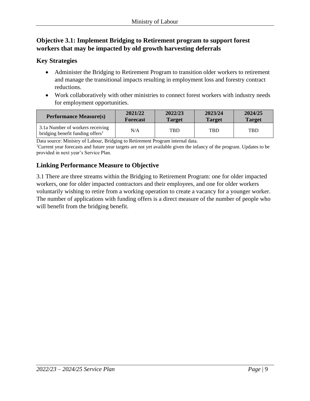#### **Objective 3.1: Implement Bridging to Retirement program to support forest workers that may be impacted by old growth harvesting deferrals**

#### **Key Strategies**

- Administer the Bridging to Retirement Program to transition older workers to retirement and manage the transitional impacts resulting in employment loss and forestry contract reductions.
- Work collaboratively with other ministries to connect forest workers with industry needs for employment opportunities.

| <b>Performance Measure(s)</b>                                                    | 2021/22         | 2022/23       | 2023/24       | 2024/25       |
|----------------------------------------------------------------------------------|-----------------|---------------|---------------|---------------|
|                                                                                  | <b>Forecast</b> | <b>Target</b> | <b>Target</b> | <b>Target</b> |
| 3.1a Number of workers receiving<br>bridging benefit funding offers <sup>1</sup> | N/A             | <b>TBD</b>    | TBD           | <b>TBD</b>    |

Data source: Ministry of Labour, Bridging to Retirement Program internal data.

<sup>1</sup>Current year forecasts and future year targets are not yet available given the infancy of the program. Updates to be provided in next year's Service Plan.

#### **Linking Performance Measure to Objective**

3.1 There are three streams within the Bridging to Retirement Program: one for older impacted workers, one for older impacted contractors and their employees, and one for older workers voluntarily wishing to retire from a working operation to create a vacancy for a younger worker. The number of applications with funding offers is a direct measure of the number of people who will benefit from the bridging benefit.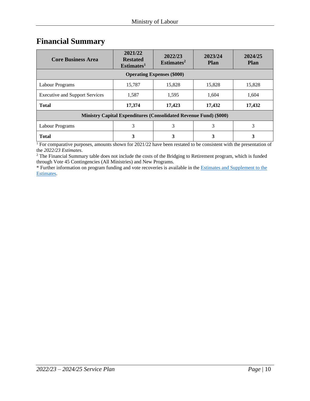### <span id="page-9-0"></span>**Financial Summary**

| <b>Core Business Area</b>                                                | 2021/22<br><b>Restated</b><br>Estimates <sup>1</sup> | 2022/23<br>Estimates <sup>2</sup> | 2023/24<br><b>Plan</b> | 2024/25<br><b>Plan</b> |  |
|--------------------------------------------------------------------------|------------------------------------------------------|-----------------------------------|------------------------|------------------------|--|
| <b>Operating Expenses (\$000)</b>                                        |                                                      |                                   |                        |                        |  |
| Labour Programs                                                          | 15,787                                               | 15,828                            | 15,828                 | 15,828                 |  |
| <b>Executive and Support Services</b>                                    | 1,587                                                | 1,595                             | 1,604                  | 1,604                  |  |
| <b>Total</b>                                                             | 17,374                                               | 17,423                            | 17,432                 | 17,432                 |  |
| <b>Ministry Capital Expenditures (Consolidated Revenue Fund) (\$000)</b> |                                                      |                                   |                        |                        |  |
| Labour Programs                                                          | 3                                                    | 3                                 | 3                      | 3                      |  |
| <b>Total</b>                                                             | 3                                                    |                                   | 3                      | 3                      |  |

<sup>1</sup> For comparative purposes, amounts shown for 2021/22 have been restated to be consistent with the presentation of the *2022/23 Estimates*.

<sup>2</sup> The Financial Summary table does not include the costs of the Bridging to Retirement program, which is funded through Vote 45 Contingencies (All Ministries) and New Programs.

\* Further information on program funding and vote recoveries is available in th[e Estimates and Supplement to the](http://www.bcbudget.gov.bc.ca/)  [Estimates.](http://www.bcbudget.gov.bc.ca/)